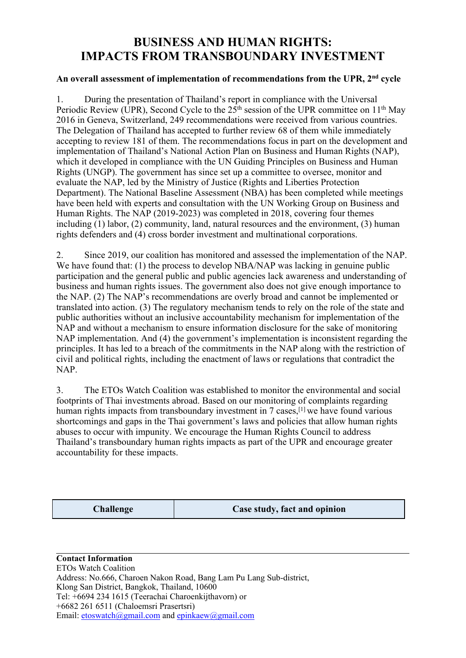# **BUSINESS AND HUMAN RIGHTS: IMPACTS FROM TRANSBOUNDARY INVESTMENT**

# **An overall assessment of implementation of recommendations from the UPR, 2nd cycle**

1. During the presentation of Thailand's repor<sup>t</sup> in compliance with the Universal Periodic Review (UPR), Second Cycle to the 25<sup>th</sup> session of the UPR committee on 11<sup>th</sup> May 2016 in Geneva, Switzerland, 249 recommendations were received from various countries. The Delegation of Thailand has accepted to further review 68 of them while immediately accepting to review 181 of them. The recommendations focus in par<sup>t</sup> on the development and implementation of Thailand's National Action Plan on Business and Human Rights (NAP), which it developed in compliance with the UN Guiding Principles on Business and Human Rights (UNGP). The governmen<sup>t</sup> has since set up <sup>a</sup> committee to oversee, monitor and evaluate the NAP, led by the Ministry of Justice (Rights and Liberties Protection Department). The National Baseline Assessment (NBA) has been completed while meetings have been held with experts and consultation with the UN Working Group on Business and Human Rights. The NAP (2019-2023) was completed in 2018, covering four themes including (1) labor, (2) community, land, natural resources and the environment, (3) human rights defenders and (4) cross border investment and multinational corporations.

2. Since 2019, our coalition has monitored and assessed the implementation of the NAP. We have found that: (1) the process to develop NBA/NAP was lacking in genuine public participation and the general public and public agencies lack awareness and understanding of business and human rights issues. The governmen<sup>t</sup> also does not give enough importance to the NAP. (2) The NAP's recommendations are overly broad and cannot be implemented or translated into action. (3) The regulatory mechanism tends to rely on the role of the state and public authorities without an inclusive accountability mechanism for implementation of the NAP and without <sup>a</sup> mechanism to ensure information disclosure for the sake of monitoring NAP implementation. And (4) the government's implementation is inconsistent regarding the principles. It has led to <sup>a</sup> breach of the commitments in the NAP along with the restriction of civil and political rights, including the enactment of laws or regulations that contradict the NAP.

3. The ETOs Watch Coalition was established to monitor the environmental and social footprints of Thai investments abroad. Based on our monitoring of complaints regarding human rights impacts from transboundary investment in 7 cases,<sup>[1]</sup> we have found various shortcomings and gaps in the Thai government's laws and policies that allow human rights abuses to occur with impunity. We encourage the Human Rights Council to address Thailand's transboundary human rights impacts as par<sup>t</sup> of the UPR and encourage greater accountability for these impacts.

**Challenge Case study, fact and opinion**

**Contact Information** ETOs Watch Coalition Address: No.666, Charoen Nakon Road, Bang Lam Pu Lang Sub-district, Klong San District, Bangkok, Thailand, 10600 Tel: +6694 234 1615 (Teerachai Charoenkijthavorn) or +6682 261 6511 (Chaloemsri Prasertsri) Email: [etoswatch@gmail.com](mailto:etoswatch@gmail.com) and ep[inkaew@gmail.com](mailto:epinkaew@gmail.com)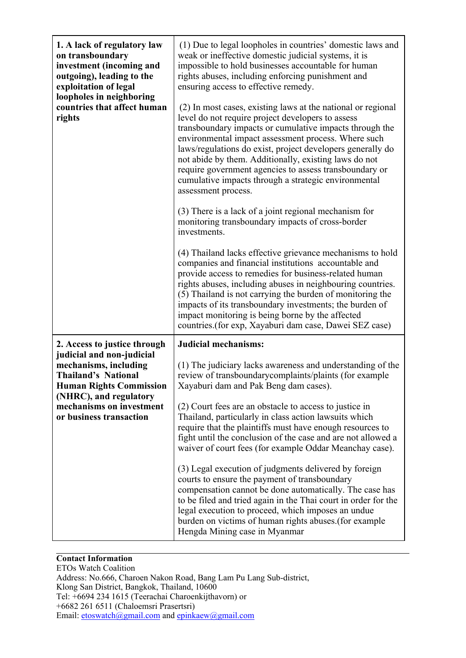| 1. A lack of regulatory law<br>on transboundary<br>investment (incoming and<br>outgoing), leading to the<br>exploitation of legal<br>loopholes in neighboring<br>countries that affect human<br>rights | (1) Due to legal loopholes in countries' domestic laws and<br>weak or ineffective domestic judicial systems, it is<br>impossible to hold businesses accountable for human<br>rights abuses, including enforcing punishment and<br>ensuring access to effective remedy.<br>(2) In most cases, existing laws at the national or regional<br>level do not require project developers to assess<br>transboundary impacts or cumulative impacts through the<br>environmental impact assessment process. Where such<br>laws/regulations do exist, project developers generally do<br>not abide by them. Additionally, existing laws do not<br>require government agencies to assess transboundary or<br>cumulative impacts through a strategic environmental<br>assessment process.<br>(3) There is a lack of a joint regional mechanism for<br>monitoring transboundary impacts of cross-border |
|--------------------------------------------------------------------------------------------------------------------------------------------------------------------------------------------------------|--------------------------------------------------------------------------------------------------------------------------------------------------------------------------------------------------------------------------------------------------------------------------------------------------------------------------------------------------------------------------------------------------------------------------------------------------------------------------------------------------------------------------------------------------------------------------------------------------------------------------------------------------------------------------------------------------------------------------------------------------------------------------------------------------------------------------------------------------------------------------------------------|
|                                                                                                                                                                                                        | investments.<br>(4) Thailand lacks effective grievance mechanisms to hold<br>companies and financial institutions accountable and<br>provide access to remedies for business-related human<br>rights abuses, including abuses in neighbouring countries.<br>(5) Thailand is not carrying the burden of monitoring the<br>impacts of its transboundary investments; the burden of<br>impact monitoring is being borne by the affected<br>countries. (for exp, Xayaburi dam case, Dawei SEZ case)                                                                                                                                                                                                                                                                                                                                                                                            |
| 2. Access to justice through                                                                                                                                                                           | <b>Judicial mechanisms:</b>                                                                                                                                                                                                                                                                                                                                                                                                                                                                                                                                                                                                                                                                                                                                                                                                                                                                |
| judicial and non-judicial<br>mechanisms, including<br><b>Thailand's National</b><br><b>Human Rights Commission</b><br>(NHRC), and regulatory<br>mechanisms on investment<br>or business transaction    | (1) The judiciary lacks awareness and understanding of the<br>review of transboundary complaints/plaints (for example<br>Xayaburi dam and Pak Beng dam cases).                                                                                                                                                                                                                                                                                                                                                                                                                                                                                                                                                                                                                                                                                                                             |
|                                                                                                                                                                                                        | (2) Court fees are an obstacle to access to justice in<br>Thailand, particularly in class action lawsuits which<br>require that the plaintiffs must have enough resources to<br>fight until the conclusion of the case and are not allowed a<br>waiver of court fees (for example Oddar Meanchay case).                                                                                                                                                                                                                                                                                                                                                                                                                                                                                                                                                                                    |
|                                                                                                                                                                                                        | (3) Legal execution of judgments delivered by foreign<br>courts to ensure the payment of transboundary<br>compensation cannot be done automatically. The case has<br>to be filed and tried again in the Thai court in order for the<br>legal execution to proceed, which imposes an undue<br>burden on victims of human rights abuses.(for example<br>Hengda Mining case in Myanmar                                                                                                                                                                                                                                                                                                                                                                                                                                                                                                        |

### **Contact Information**

ETOs Watch Coalition Address: No.666, Charoen Nakon Road, Bang Lam Pu Lang Sub-district, Klong San District, Bangkok, Thailand, 10600 Tel: +6694 234 1615 (Teerachai Charoenkijthavorn) or +6682 261 6511 (Chaloemsri Prasertsri) Email: [etoswatch@gmail.com](mailto:etoswatch@gmail.com) and ep[inkaew@gmail.com](mailto:epinkaew@gmail.com)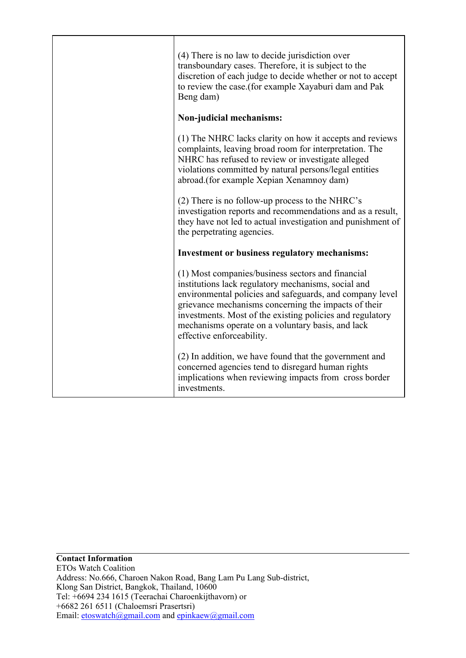| (4) There is no law to decide jurisdiction over<br>transboundary cases. Therefore, it is subject to the<br>discretion of each judge to decide whether or not to accept<br>to review the case.(for example Xayaburi dam and Pak<br>Beng dam)                                                                                                                                 |
|-----------------------------------------------------------------------------------------------------------------------------------------------------------------------------------------------------------------------------------------------------------------------------------------------------------------------------------------------------------------------------|
| Non-judicial mechanisms:                                                                                                                                                                                                                                                                                                                                                    |
| (1) The NHRC lacks clarity on how it accepts and reviews<br>complaints, leaving broad room for interpretation. The<br>NHRC has refused to review or investigate alleged<br>violations committed by natural persons/legal entities<br>abroad. (for example Xepian Xenamnoy dam)                                                                                              |
| $(2)$ There is no follow-up process to the NHRC's<br>investigation reports and recommendations and as a result,<br>they have not led to actual investigation and punishment of<br>the perpetrating agencies.                                                                                                                                                                |
| Investment or business regulatory mechanisms:                                                                                                                                                                                                                                                                                                                               |
| (1) Most companies/business sectors and financial<br>institutions lack regulatory mechanisms, social and<br>environmental policies and safeguards, and company level<br>grievance mechanisms concerning the impacts of their<br>investments. Most of the existing policies and regulatory<br>mechanisms operate on a voluntary basis, and lack<br>effective enforceability. |
| (2) In addition, we have found that the government and<br>concerned agencies tend to disregard human rights<br>implications when reviewing impacts from cross border<br>investments.                                                                                                                                                                                        |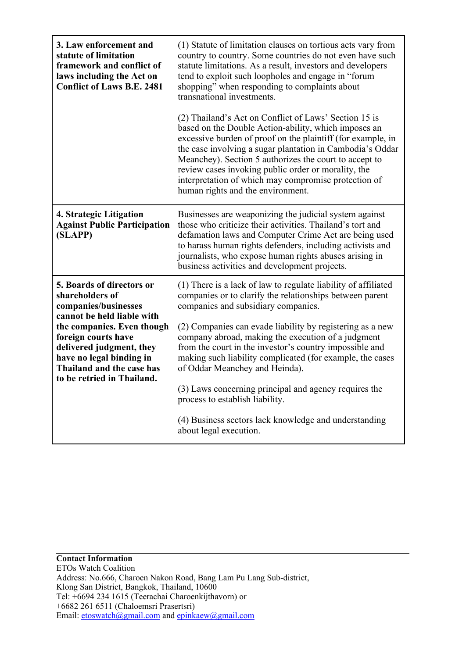| 3. Law enforcement and<br>statute of limitation<br>framework and conflict of<br>laws including the Act on<br><b>Conflict of Laws B.E. 2481</b>                                                                                                                                    | (1) Statute of limitation clauses on tortious acts vary from<br>country to country. Some countries do not even have such<br>statute limitations. As a result, investors and developers<br>tend to exploit such loopholes and engage in "forum<br>shopping" when responding to complaints about<br>transnational investments.                                                                                                                                                                                                                                                                                                  |
|-----------------------------------------------------------------------------------------------------------------------------------------------------------------------------------------------------------------------------------------------------------------------------------|-------------------------------------------------------------------------------------------------------------------------------------------------------------------------------------------------------------------------------------------------------------------------------------------------------------------------------------------------------------------------------------------------------------------------------------------------------------------------------------------------------------------------------------------------------------------------------------------------------------------------------|
|                                                                                                                                                                                                                                                                                   | (2) Thailand's Act on Conflict of Laws' Section 15 is<br>based on the Double Action-ability, which imposes an<br>excessive burden of proof on the plaintiff (for example, in<br>the case involving a sugar plantation in Cambodia's Oddar<br>Meanchey). Section 5 authorizes the court to accept to<br>review cases invoking public order or morality, the<br>interpretation of which may compromise protection of<br>human rights and the environment.                                                                                                                                                                       |
| 4. Strategic Litigation<br><b>Against Public Participation</b><br>(SLAPP)                                                                                                                                                                                                         | Businesses are weaponizing the judicial system against<br>those who criticize their activities. Thailand's tort and<br>defamation laws and Computer Crime Act are being used<br>to harass human rights defenders, including activists and<br>journalists, who expose human rights abuses arising in<br>business activities and development projects.                                                                                                                                                                                                                                                                          |
| <b>5. Boards of directors or</b><br>shareholders of<br>companies/businesses<br>cannot be held liable with<br>the companies. Even though<br>foreign courts have<br>delivered judgment, they<br>have no legal binding in<br>Thailand and the case has<br>to be retried in Thailand. | (1) There is a lack of law to regulate liability of affiliated<br>companies or to clarify the relationships between parent<br>companies and subsidiary companies.<br>(2) Companies can evade liability by registering as a new<br>company abroad, making the execution of a judgment<br>from the court in the investor's country impossible and<br>making such liability complicated (for example, the cases<br>of Oddar Meanchey and Heinda).<br>(3) Laws concerning principal and agency requires the<br>process to establish liability.<br>(4) Business sectors lack knowledge and understanding<br>about legal execution. |

**Contact Information** ETOs Watch Coalition Address: No.666, Charoen Nakon Road, Bang Lam Pu Lang Sub-district, Klong San District, Bangkok, Thailand, 10600 Tel: +6694 234 1615 (Teerachai Charoenkijthavorn) or +6682 261 6511 (Chaloemsri Prasertsri) Email: [etoswatch@gmail.com](mailto:etoswatch@gmail.com) and ep[inkaew@gmail.com](mailto:epinkaew@gmail.com)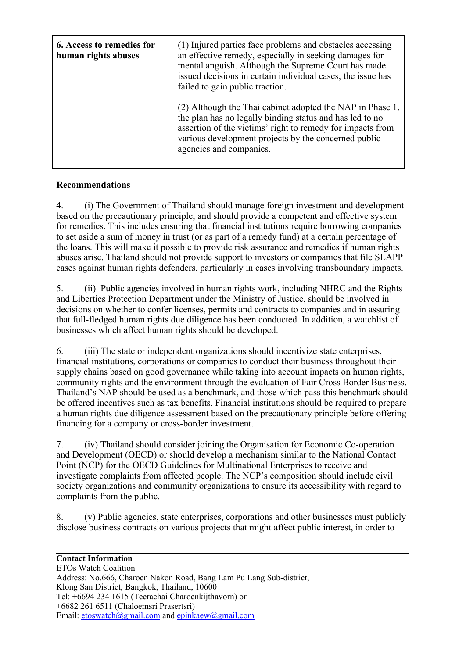| <b>6. Access to remedies for</b><br>human rights abuses | (1) Injured parties face problems and obstacles accessing<br>an effective remedy, especially in seeking damages for<br>mental anguish. Although the Supreme Court has made<br>issued decisions in certain individual cases, the issue has<br>failed to gain public traction. |
|---------------------------------------------------------|------------------------------------------------------------------------------------------------------------------------------------------------------------------------------------------------------------------------------------------------------------------------------|
|                                                         | (2) Although the Thai cabinet adopted the NAP in Phase 1,<br>the plan has no legally binding status and has led to no<br>assertion of the victims' right to remedy for impacts from<br>various development projects by the concerned public<br>agencies and companies.       |

# **Recommendations**

4. (i) The Government of Thailand should manage foreign investment and development based on the precautionary principle, and should provide <sup>a</sup> competent and effective system for remedies. This includes ensuring that financial institutions require borrowing companies to set aside <sup>a</sup> sum of money in trust (or as par<sup>t</sup> of <sup>a</sup> remedy fund) at <sup>a</sup> certain percentage of the loans. This will make it possible to provide risk assurance and remedies if human rights abuses arise. Thailand should not provide suppor<sup>t</sup> to investors or companies that file SLAPP cases against human rights defenders, particularly in cases involving transboundary impacts.

5. (ii) Public agencies involved in human rights work, including NHRC and the Rights and Liberties Protection Department under the Ministry of Justice, should be involved in decisions on whether to confer licenses, permits and contracts to companies and in assuring that full-fledged human rights due diligence has been conducted. In addition, <sup>a</sup> watchlist of businesses which affect human rights should be developed.

6. (iii) The state or independent organizations should incentivize state enterprises, financial institutions, corporations or companies to conduct their business throughout their supply chains based on good governance while taking into account impacts on human rights, community rights and the environment through the evaluation of Fair Cross Border Business. Thailand's NAP should be used as <sup>a</sup> benchmark, and those which pass this benchmark should be offered incentives such as tax benefits. Financial institutions should be required to prepare <sup>a</sup> human rights due diligence assessment based on the precautionary principle before offering financing for <sup>a</sup> company or cross-border investment.

7. (iv) Thailand should consider joining the Organisation for Economic Co-operation and Development (OECD) or should develop <sup>a</sup> mechanism similar to the National Contact Point (NCP) for the OECD Guidelines for Multinational Enterprises to receive and investigate complaints from affected people. The NCP's composition should include civil society organizations and community organizations to ensure its accessibility with regard to complaints from the public.

8. (v) Public agencies, state enterprises, corporations and other businesses must publicly disclose business contracts on various projects that might affect public interest, in order to

#### **Contact Information**

ETOs Watch Coalition Address: No.666, Charoen Nakon Road, Bang Lam Pu Lang Sub-district, Klong San District, Bangkok, Thailand, 10600 Tel: +6694 234 1615 (Teerachai Charoenkijthavorn) or +6682 261 6511 (Chaloemsri Prasertsri) Email: [etoswatch@gmail.com](mailto:etoswatch@gmail.com) and ep[inkaew@gmail.com](mailto:epinkaew@gmail.com)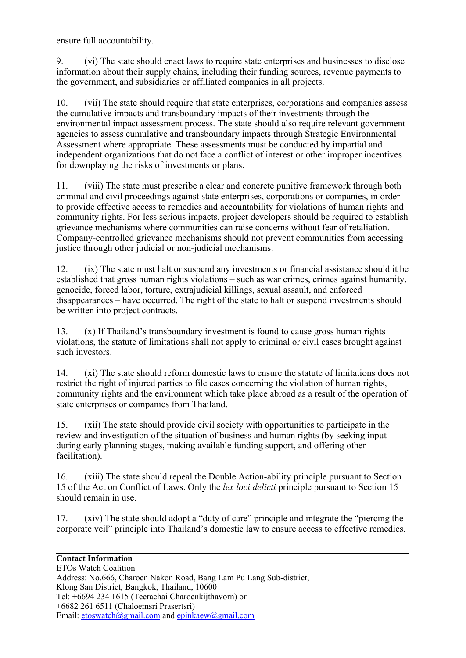ensure full accountability.

9. (vi) The state should enact laws to require state enterprises and businesses to disclose information about their supply chains, including their funding sources, revenue payments to the government, and subsidiaries or affiliated companies in all projects.

10. (vii) The state should require that state enterprises, corporations and companies assess the cumulative impacts and transboundary impacts of their investments through the environmental impact assessment process. The state should also require relevant governmen<sup>t</sup> agencies to assess cumulative and transboundary impacts through Strategic Environmental Assessment where appropriate. These assessments must be conducted by impartial and independent organizations that do not face <sup>a</sup> conflict of interest or other improper incentives for downplaying the risks of investments or plans.

11. (viii) The state must prescribe <sup>a</sup> clear and concrete punitive framework through both criminal and civil proceedings against state enterprises, corporations or companies, in order to provide effective access to remedies and accountability for violations of human rights and community rights. For less serious impacts, project developers should be required to establish grievance mechanisms where communities can raise concerns without fear of retaliation. Company-controlled grievance mechanisms should not preven<sup>t</sup> communities from accessing justice through other judicial or non-judicial mechanisms.

12. (ix) The state must halt or suspend any investments or financial assistance should it be established that gross human rights violations – such as war crimes, crimes against humanity, genocide, forced labor, torture, extrajudicial killings, sexual assault, and enforced disappearances – have occurred. The right of the state to halt or suspend investments should be written into project contracts.

13. (x) If Thailand's transboundary investment is found to cause gross human rights violations, the statute of limitations shall not apply to criminal or civil cases brought against such investors.

14. (xi) The state should reform domestic laws to ensure the statute of limitations does not restrict the right of injured parties to file cases concerning the violation of human rights, community rights and the environment which take place abroad as <sup>a</sup> result of the operation of state enterprises or companies from Thailand.

15. (xii) The state should provide civil society with opportunities to participate in the review and investigation of the situation of business and human rights (by seeking input during early planning stages, making available funding support, and offering other facilitation).

16. (xiii) The state should repeal the Double Action-ability principle pursuan<sup>t</sup> to Section 15 of the Act on Conflict of Laws. Only the *lex loci delicti* principle pursuan<sup>t</sup> to Section 15 should remain in use.

17. (xiv) The state should adopt <sup>a</sup> "duty of care" principle and integrate the "piercing the corporate veil" principle into Thailand's domestic law to ensure access to effective remedies.

#### **Contact Information**

ETOs Watch Coalition Address: No.666, Charoen Nakon Road, Bang Lam Pu Lang Sub-district, Klong San District, Bangkok, Thailand, 10600 Tel: +6694 234 1615 (Teerachai Charoenkijthavorn) or +6682 261 6511 (Chaloemsri Prasertsri) Email:  $etoswatch@gmail.com$  and  $epinkaw@gmail.com$